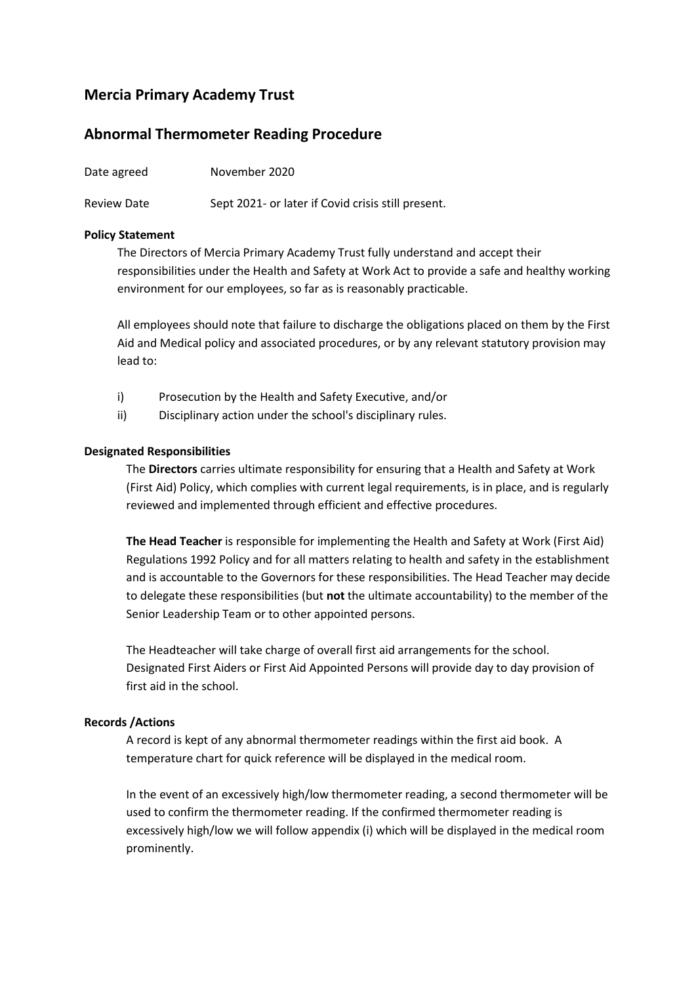## **Mercia Primary Academy Trust**

### **Abnormal Thermometer Reading Procedure**

| Date agreed        | November 2020                                      |
|--------------------|----------------------------------------------------|
| <b>Review Date</b> | Sept 2021- or later if Covid crisis still present. |

#### **Policy Statement**

The Directors of Mercia Primary Academy Trust fully understand and accept their responsibilities under the Health and Safety at Work Act to provide a safe and healthy working environment for our employees, so far as is reasonably practicable.

All employees should note that failure to discharge the obligations placed on them by the First Aid and Medical policy and associated procedures, or by any relevant statutory provision may lead to:

- i) Prosecution by the Health and Safety Executive, and/or
- ii) Disciplinary action under the school's disciplinary rules.

#### **Designated Responsibilities**

The **Directors** carries ultimate responsibility for ensuring that a Health and Safety at Work (First Aid) Policy, which complies with current legal requirements, is in place, and is regularly reviewed and implemented through efficient and effective procedures.

**The Head Teacher** is responsible for implementing the Health and Safety at Work (First Aid) Regulations 1992 Policy and for all matters relating to health and safety in the establishment and is accountable to the Governors for these responsibilities. The Head Teacher may decide to delegate these responsibilities (but **not** the ultimate accountability) to the member of the Senior Leadership Team or to other appointed persons.

The Headteacher will take charge of overall first aid arrangements for the school. Designated First Aiders or First Aid Appointed Persons will provide day to day provision of first aid in the school.

#### **Records /Actions**

A record is kept of any abnormal thermometer readings within the first aid book. A temperature chart for quick reference will be displayed in the medical room.

In the event of an excessively high/low thermometer reading, a second thermometer will be used to confirm the thermometer reading. If the confirmed thermometer reading is excessively high/low we will follow appendix (i) which will be displayed in the medical room prominently.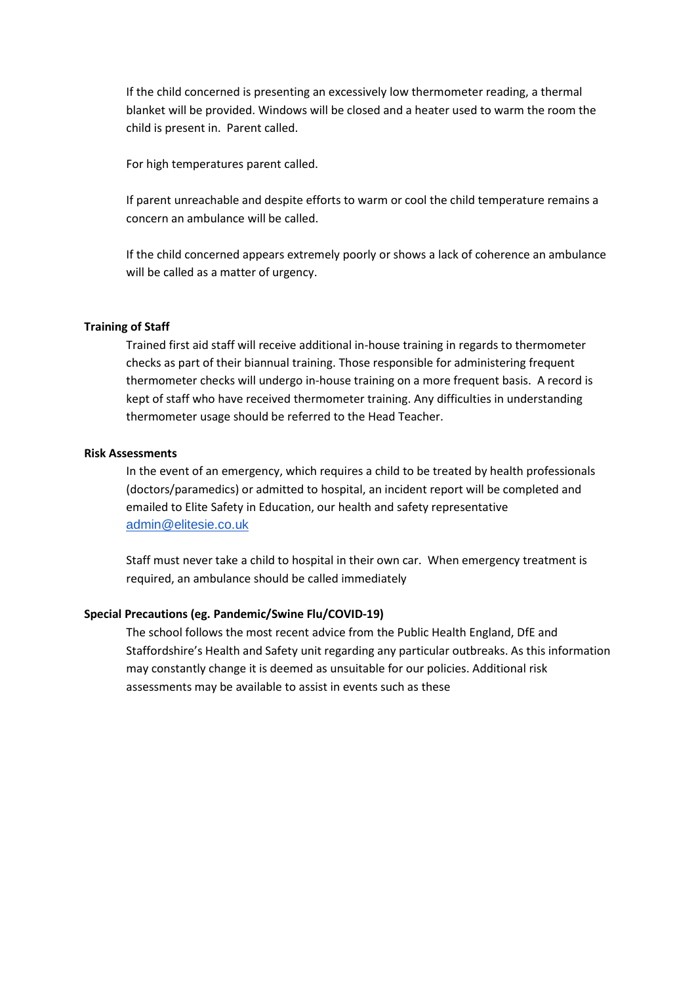If the child concerned is presenting an excessively low thermometer reading, a thermal blanket will be provided. Windows will be closed and a heater used to warm the room the child is present in. Parent called.

For high temperatures parent called.

If parent unreachable and despite efforts to warm or cool the child temperature remains a concern an ambulance will be called.

If the child concerned appears extremely poorly or shows a lack of coherence an ambulance will be called as a matter of urgency.

#### **Training of Staff**

Trained first aid staff will receive additional in-house training in regards to thermometer checks as part of their biannual training. Those responsible for administering frequent thermometer checks will undergo in-house training on a more frequent basis. A record is kept of staff who have received thermometer training. Any difficulties in understanding thermometer usage should be referred to the Head Teacher.

#### **Risk Assessments**

In the event of an emergency, which requires a child to be treated by health professionals (doctors/paramedics) or admitted to hospital, an incident report will be completed and emailed to Elite Safety in Education, our health and safety representative [admin@elitesie.co.uk](mailto:admin@elitesie.co.uk)

Staff must never take a child to hospital in their own car. When emergency treatment is required, an ambulance should be called immediately

#### **Special Precautions (eg. Pandemic/Swine Flu/COVID-19)**

The school follows the most recent advice from the Public Health England, DfE and Staffordshire's Health and Safety unit regarding any particular outbreaks. As this information may constantly change it is deemed as unsuitable for our policies. Additional risk assessments may be available to assist in events such as these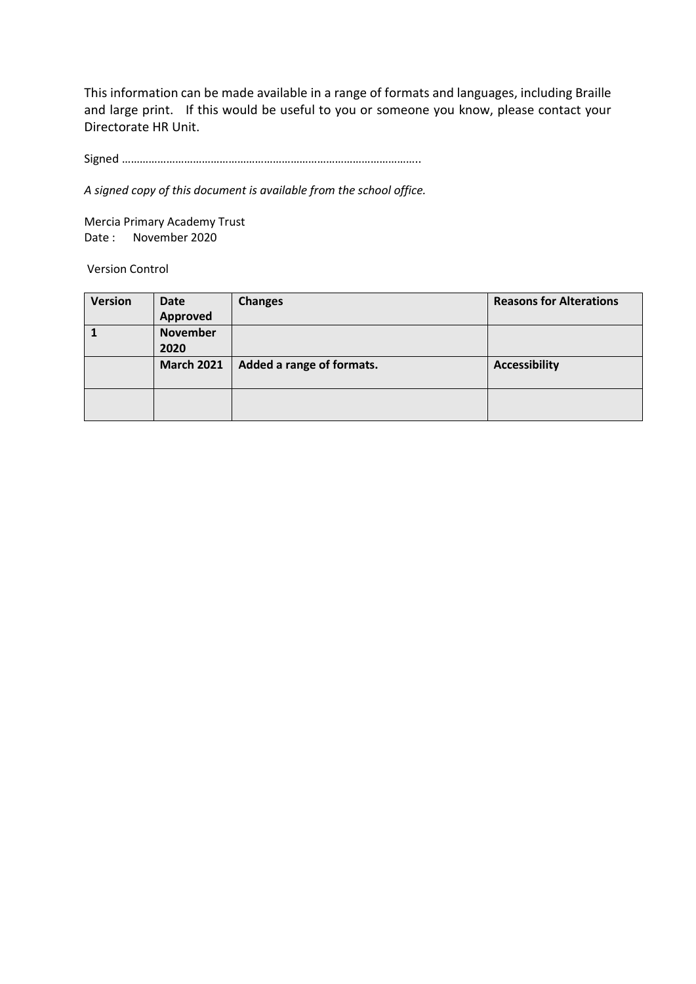This information can be made available in a range of formats and languages, including Braille and large print. If this would be useful to you or someone you know, please contact your Directorate HR Unit.

Signed ………………………………………………………………………………………..

*A signed copy of this document is available from the school office.*

Mercia Primary Academy Trust Date : November 2020

Version Control

| <b>Version</b> | <b>Date</b>       | <b>Changes</b>            | <b>Reasons for Alterations</b> |
|----------------|-------------------|---------------------------|--------------------------------|
|                | Approved          |                           |                                |
|                | <b>November</b>   |                           |                                |
|                | 2020              |                           |                                |
|                | <b>March 2021</b> | Added a range of formats. | <b>Accessibility</b>           |
|                |                   |                           |                                |
|                |                   |                           |                                |
|                |                   |                           |                                |